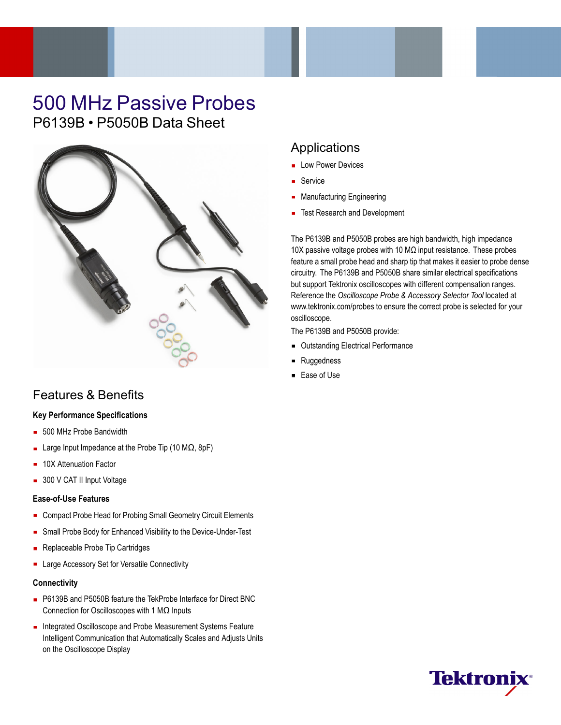# 500 MHz Passive Probes P6139B • P5050B Data Sheet



## Features & Benefits

## **Key Performance Specifications**

- 500 MHz Probe Bandwidth
- Large Input Impedance at the Probe Tip (10 MΩ, 8pF)
- 10X Attenuation Factor
- 300 V CAT II Input Voltage

## **Ease-of-Use Features**

- Compact Probe Head for Probing Small Geometry Circuit Elements
- Small Probe Body for Enhanced Visibility to the Device-Under-Test
- $\blacksquare$ Replaceable Probe Tip Cartridges
- **EXEC** Large Accessory Set for Versatile Connectivity

## **Connectivity**

- P6139B and P5050B feature the TekProbe Interface for Direct BNC Connection for Oscilloscopes with 1 MΩ Inputs
- Integrated Oscilloscope and Probe Measurement Systems Feature Intelligent Communication that Automatically Scales and Adjusts Units on the Oscilloscope Display

## Applications

- **Low Power Devices**
- **Service**
- **Manufacturing Engineering**
- Test Research and Development

The P6139B and P5050B probes are high bandwidth, high impedance 10X passive voltage probes with 10 MΩ input resistance. These probes feature a small probe head and sharp tip that makes it easier to probe dense circuitry. The P6139B and P5050B share similar electrical specifications but support Tektronix oscilloscopes with different compensation ranges. Reference the *Oscilloscope Probe & Accessory Selector Tool* located at <www.tektronix.com/probes> to ensure the correct probe is selected for your oscilloscope.

The P6139B and P5050B provide:

- **Dutstanding Electrical Performance**
- **Ruggedness**  $\blacksquare$
- Ease of Use

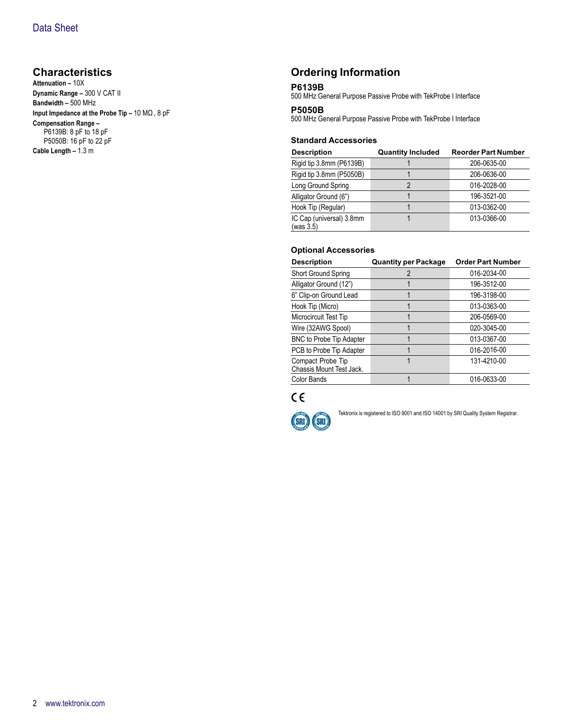## **Characteristics**

**Attenuation –** 10X **Dynamic Range –** 300 V CAT II **Bandwidth –** 500 MHz **Input Impedance at the Probe Tip –** 10 MΩ, 8 pF **Compensation Range –** P6139B: 8 pF to 18 pF P5050B: 16 pF to 22 pF **Cable Length –** 1.3 m

## **Ordering Information**

## **P6139B**

500 MHz General Purpose Passive Probe with TekProbe I Interface

#### **P5050B**

500 MHz General Purpose Passive Probe with TekProbe I Interface

#### **Standard Accessories**

| <b>Description</b>                    | <b>Quantity Included</b> | <b>Reorder Part Number</b> |
|---------------------------------------|--------------------------|----------------------------|
| Rigid tip 3.8mm (P6139B)              |                          | 206-0635-00                |
| Rigid tip 3.8mm (P5050B)              |                          | 206-0636-00                |
| Long Ground Spring                    |                          | 016-2028-00                |
| Alligator Ground (6")                 |                          | 196-3521-00                |
| Hook Tip (Regular)                    |                          | 013-0362-00                |
| IC Cap (universal) 3.8mm<br>(was 3.5) |                          | 013-0366-00                |

## **Optional Accessories**

| <b>Description</b>                            | <b>Quantity per Package</b> | <b>Order Part Number</b> |
|-----------------------------------------------|-----------------------------|--------------------------|
| Short Ground Spring                           | 2                           | 016-2034-00              |
| Alligator Ground (12")                        |                             | 196-3512-00              |
| 6" Clip-on Ground Lead                        |                             | 196-3198-00              |
| Hook Tip (Micro)                              |                             | 013-0363-00              |
| Microcircuit Test Tip                         |                             | 206-0569-00              |
| Wire (32AWG Spool)                            |                             | 020-3045-00              |
| <b>BNC to Probe Tip Adapter</b>               |                             | 013-0367-00              |
| PCB to Probe Tip Adapter                      |                             | 016-2016-00              |
| Compact Probe Tip<br>Chassis Mount Test Jack. |                             | 131-4210-00              |
| Color Bands                                   |                             | 016-0633-00              |





Tektronix is registered to ISO 9001 and ISO 14001 by SRI Quality System Registrar.